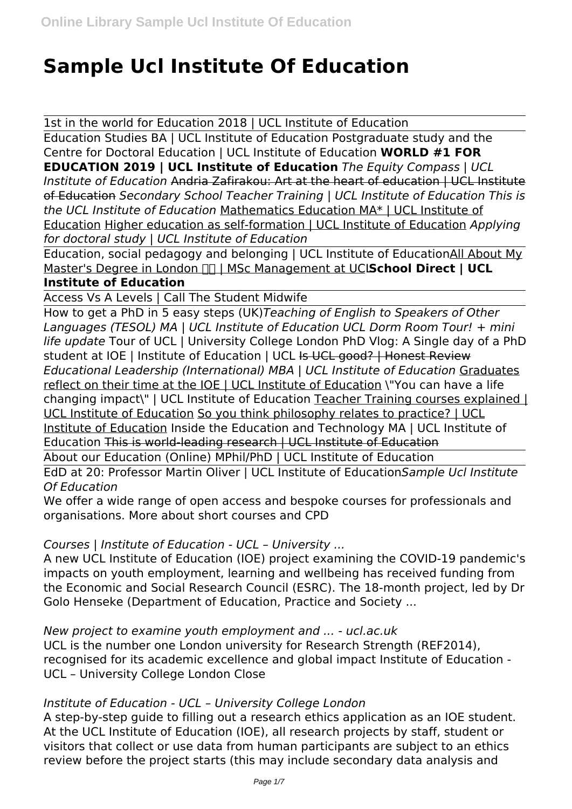# **Sample Ucl Institute Of Education**

1st in the world for Education 2018 | UCL Institute of Education Education Studies BA | UCL Institute of Education Postgraduate study and the Centre for Doctoral Education | UCL Institute of Education **WORLD #1 FOR EDUCATION 2019 | UCL Institute of Education** *The Equity Compass | UCL Institute of Education* Andria Zafirakou: Art at the heart of education | UCL Institute of Education *Secondary School Teacher Training | UCL Institute of Education This is the UCL Institute of Education* Mathematics Education MA\* | UCL Institute of

Education Higher education as self-formation | UCL Institute of Education *Applying for doctoral study | UCL Institute of Education*

Education, social pedagogy and belonging | UCL Institute of EducationAll About My Master's Degree in London **FIT | MSc Management at UCLSchool Direct | UCL** 

# **Institute of Education**

Access Vs A Levels | Call The Student Midwife

How to get a PhD in 5 easy steps (UK)*Teaching of English to Speakers of Other Languages (TESOL) MA | UCL Institute of Education UCL Dorm Room Tour! + mini life update* Tour of UCL | University College London PhD Vlog: A Single day of a PhD student at IOE | Institute of Education | UCL Is UCL good? | Honest Review *Educational Leadership (International) MBA | UCL Institute of Education* Graduates reflect on their time at the IOE | UCL Institute of Education \"You can have a life changing impact\" | UCL Institute of Education Teacher Training courses explained | UCL Institute of Education So you think philosophy relates to practice? | UCL Institute of Education Inside the Education and Technology MA | UCL Institute of Education This is world-leading research | UCL Institute of Education About our Education (Online) MPhil/PhD | UCL Institute of Education

EdD at 20: Professor Martin Oliver | UCL Institute of Education*Sample Ucl Institute Of Education*

We offer a wide range of open access and bespoke courses for professionals and organisations. More about short courses and CPD

# *Courses | Institute of Education - UCL – University ...*

A new UCL Institute of Education (IOE) project examining the COVID-19 pandemic's impacts on youth employment, learning and wellbeing has received funding from the Economic and Social Research Council (ESRC). The 18-month project, led by Dr Golo Henseke (Department of Education, Practice and Society ...

*New project to examine youth employment and ... - ucl.ac.uk*

UCL is the number one London university for Research Strength (REF2014), recognised for its academic excellence and global impact Institute of Education - UCL – University College London Close

# *Institute of Education - UCL – University College London*

A step-by-step guide to filling out a research ethics application as an IOE student. At the UCL Institute of Education (IOE), all research projects by staff, student or visitors that collect or use data from human participants are subject to an ethics review before the project starts (this may include secondary data analysis and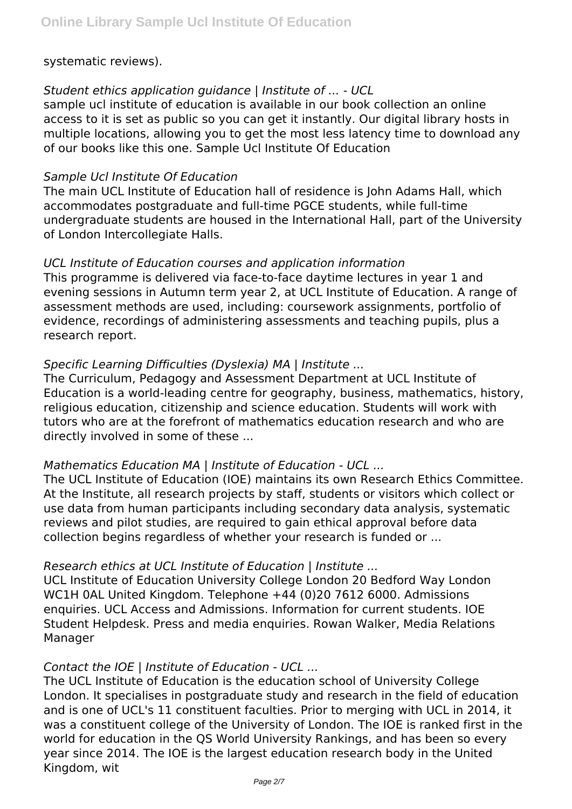#### systematic reviews).

## *Student ethics application guidance | Institute of ... - UCL*

sample ucl institute of education is available in our book collection an online access to it is set as public so you can get it instantly. Our digital library hosts in multiple locations, allowing you to get the most less latency time to download any of our books like this one. Sample Ucl Institute Of Education

#### *Sample Ucl Institute Of Education*

The main UCL Institute of Education hall of residence is John Adams Hall, which accommodates postgraduate and full-time PGCE students, while full-time undergraduate students are housed in the International Hall, part of the University of London Intercollegiate Halls.

#### *UCL Institute of Education courses and application information*

This programme is delivered via face-to-face daytime lectures in year 1 and evening sessions in Autumn term year 2, at UCL Institute of Education. A range of assessment methods are used, including: coursework assignments, portfolio of evidence, recordings of administering assessments and teaching pupils, plus a research report.

#### *Specific Learning Difficulties (Dyslexia) MA | Institute ...*

The Curriculum, Pedagogy and Assessment Department at UCL Institute of Education is a world-leading centre for geography, business, mathematics, history, religious education, citizenship and science education. Students will work with tutors who are at the forefront of mathematics education research and who are directly involved in some of these ...

#### *Mathematics Education MA | Institute of Education - UCL ...*

The UCL Institute of Education (IOE) maintains its own Research Ethics Committee. At the Institute, all research projects by staff, students or visitors which collect or use data from human participants including secondary data analysis, systematic reviews and pilot studies, are required to gain ethical approval before data collection begins regardless of whether your research is funded or ...

#### *Research ethics at UCL Institute of Education | Institute ...*

UCL Institute of Education University College London 20 Bedford Way London WC1H 0AL United Kingdom. Telephone +44 (0)20 7612 6000. Admissions enquiries. UCL Access and Admissions. Information for current students. IOE Student Helpdesk. Press and media enquiries. Rowan Walker, Media Relations Manager

#### *Contact the IOE | Institute of Education - UCL ...*

The UCL Institute of Education is the education school of University College London. It specialises in postgraduate study and research in the field of education and is one of UCL's 11 constituent faculties. Prior to merging with UCL in 2014, it was a constituent college of the University of London. The IOE is ranked first in the world for education in the QS World University Rankings, and has been so every year since 2014. The IOE is the largest education research body in the United Kingdom, wit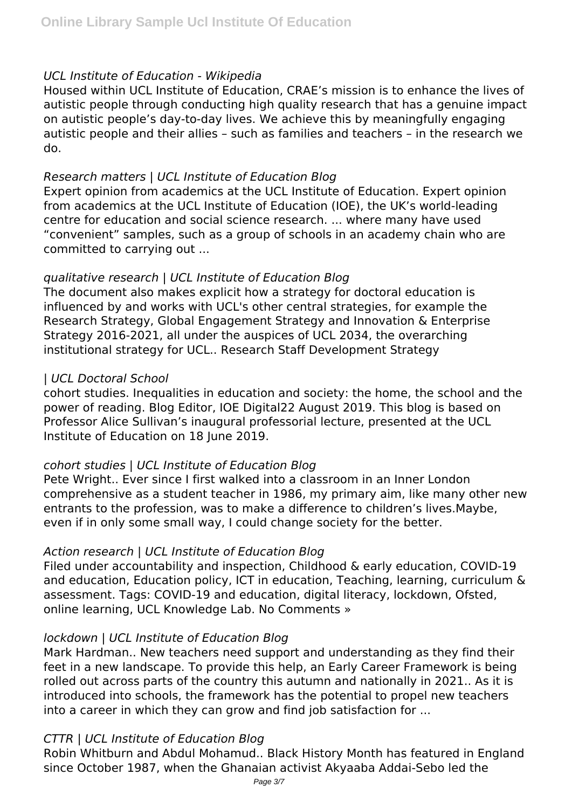## *UCL Institute of Education - Wikipedia*

Housed within UCL Institute of Education, CRAE's mission is to enhance the lives of autistic people through conducting high quality research that has a genuine impact on autistic people's day-to-day lives. We achieve this by meaningfully engaging autistic people and their allies – such as families and teachers – in the research we do.

#### *Research matters | UCL Institute of Education Blog*

Expert opinion from academics at the UCL Institute of Education. Expert opinion from academics at the UCL Institute of Education (IOE), the UK's world-leading centre for education and social science research. ... where many have used "convenient" samples, such as a group of schools in an academy chain who are committed to carrying out ...

## *qualitative research | UCL Institute of Education Blog*

The document also makes explicit how a strategy for doctoral education is influenced by and works with UCL's other central strategies, for example the Research Strategy, Global Engagement Strategy and Innovation & Enterprise Strategy 2016-2021, all under the auspices of UCL 2034, the overarching institutional strategy for UCL.. Research Staff Development Strategy

## *| UCL Doctoral School*

cohort studies. Inequalities in education and society: the home, the school and the power of reading. Blog Editor, IOE Digital22 August 2019. This blog is based on Professor Alice Sullivan's inaugural professorial lecture, presented at the UCL Institute of Education on 18 June 2019.

# *cohort studies | UCL Institute of Education Blog*

Pete Wright.. Ever since I first walked into a classroom in an Inner London comprehensive as a student teacher in 1986, my primary aim, like many other new entrants to the profession, was to make a difference to children's lives.Maybe, even if in only some small way, I could change society for the better.

# *Action research | UCL Institute of Education Blog*

Filed under accountability and inspection, Childhood & early education, COVID-19 and education, Education policy, ICT in education, Teaching, learning, curriculum & assessment. Tags: COVID-19 and education, digital literacy, lockdown, Ofsted, online learning, UCL Knowledge Lab. No Comments »

# *lockdown | UCL Institute of Education Blog*

Mark Hardman.. New teachers need support and understanding as they find their feet in a new landscape. To provide this help, an Early Career Framework is being rolled out across parts of the country this autumn and nationally in 2021.. As it is introduced into schools, the framework has the potential to propel new teachers into a career in which they can grow and find job satisfaction for ...

# *CTTR | UCL Institute of Education Blog*

Robin Whitburn and Abdul Mohamud.. Black History Month has featured in England since October 1987, when the Ghanaian activist Akyaaba Addai-Sebo led the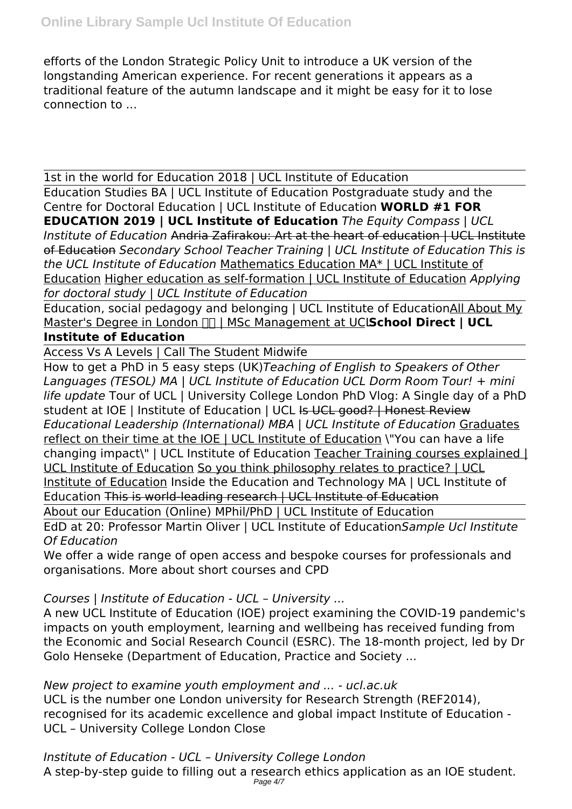efforts of the London Strategic Policy Unit to introduce a UK version of the longstanding American experience. For recent generations it appears as a traditional feature of the autumn landscape and it might be easy for it to lose connection to ...

1st in the world for Education 2018 | UCL Institute of Education

Education Studies BA | UCL Institute of Education Postgraduate study and the Centre for Doctoral Education | UCL Institute of Education **WORLD #1 FOR EDUCATION 2019 | UCL Institute of Education** *The Equity Compass | UCL Institute of Education* Andria Zafirakou: Art at the heart of education | UCL Institute of Education *Secondary School Teacher Training | UCL Institute of Education This is the UCL Institute of Education* Mathematics Education MA\* | UCL Institute of Education Higher education as self-formation | UCL Institute of Education *Applying for doctoral study | UCL Institute of Education*

Education, social pedagogy and belonging | UCL Institute of EducationAll About My Master's Degree in London **nn | MSc Management at UClSchool Direct | UCL Institute of Education**

Access Vs A Levels | Call The Student Midwife

How to get a PhD in 5 easy steps (UK)*Teaching of English to Speakers of Other Languages (TESOL) MA | UCL Institute of Education UCL Dorm Room Tour! + mini life update* Tour of UCL | University College London PhD Vlog: A Single day of a PhD student at IOE | Institute of Education | UCL Is UCL good? | Honest Review *Educational Leadership (International) MBA | UCL Institute of Education* Graduates reflect on their time at the IOE | UCL Institute of Education \"You can have a life changing impact\" | UCL Institute of Education Teacher Training courses explained | UCL Institute of Education So you think philosophy relates to practice? | UCL Institute of Education Inside the Education and Technology MA | UCL Institute of Education This is world-leading research | UCL Institute of Education

About our Education (Online) MPhil/PhD | UCL Institute of Education

EdD at 20: Professor Martin Oliver | UCL Institute of Education*Sample Ucl Institute Of Education*

We offer a wide range of open access and bespoke courses for professionals and organisations. More about short courses and CPD

# *Courses | Institute of Education - UCL – University ...*

A new UCL Institute of Education (IOE) project examining the COVID-19 pandemic's impacts on youth employment, learning and wellbeing has received funding from the Economic and Social Research Council (ESRC). The 18-month project, led by Dr Golo Henseke (Department of Education, Practice and Society ...

*New project to examine youth employment and ... - ucl.ac.uk* UCL is the number one London university for Research Strength (REF2014), recognised for its academic excellence and global impact Institute of Education - UCL – University College London Close

*Institute of Education - UCL – University College London* A step-by-step guide to filling out a research ethics application as an IOE student. Page 4/7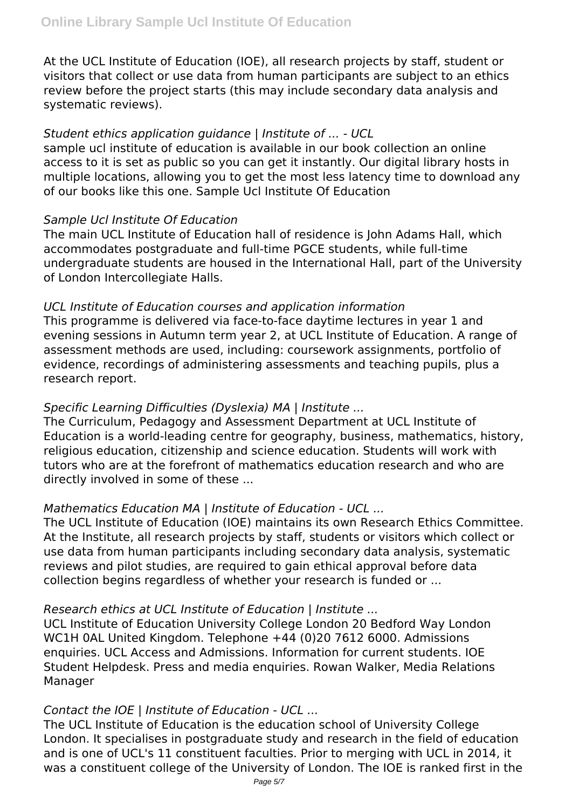At the UCL Institute of Education (IOE), all research projects by staff, student or visitors that collect or use data from human participants are subject to an ethics review before the project starts (this may include secondary data analysis and systematic reviews).

# *Student ethics application guidance | Institute of ... - UCL*

sample ucl institute of education is available in our book collection an online access to it is set as public so you can get it instantly. Our digital library hosts in multiple locations, allowing you to get the most less latency time to download any of our books like this one. Sample Ucl Institute Of Education

## *Sample Ucl Institute Of Education*

The main UCL Institute of Education hall of residence is John Adams Hall, which accommodates postgraduate and full-time PGCE students, while full-time undergraduate students are housed in the International Hall, part of the University of London Intercollegiate Halls.

## *UCL Institute of Education courses and application information*

This programme is delivered via face-to-face daytime lectures in year 1 and evening sessions in Autumn term year 2, at UCL Institute of Education. A range of assessment methods are used, including: coursework assignments, portfolio of evidence, recordings of administering assessments and teaching pupils, plus a research report.

# *Specific Learning Difficulties (Dyslexia) MA | Institute ...*

The Curriculum, Pedagogy and Assessment Department at UCL Institute of Education is a world-leading centre for geography, business, mathematics, history, religious education, citizenship and science education. Students will work with tutors who are at the forefront of mathematics education research and who are directly involved in some of these ...

# *Mathematics Education MA | Institute of Education - UCL ...*

The UCL Institute of Education (IOE) maintains its own Research Ethics Committee. At the Institute, all research projects by staff, students or visitors which collect or use data from human participants including secondary data analysis, systematic reviews and pilot studies, are required to gain ethical approval before data collection begins regardless of whether your research is funded or ...

#### *Research ethics at UCL Institute of Education | Institute ...*

UCL Institute of Education University College London 20 Bedford Way London WC1H 0AL United Kingdom. Telephone +44 (0)20 7612 6000. Admissions enquiries. UCL Access and Admissions. Information for current students. IOE Student Helpdesk. Press and media enquiries. Rowan Walker, Media Relations Manager

# *Contact the IOE | Institute of Education - UCL ...*

The UCL Institute of Education is the education school of University College London. It specialises in postgraduate study and research in the field of education and is one of UCL's 11 constituent faculties. Prior to merging with UCL in 2014, it was a constituent college of the University of London. The IOE is ranked first in the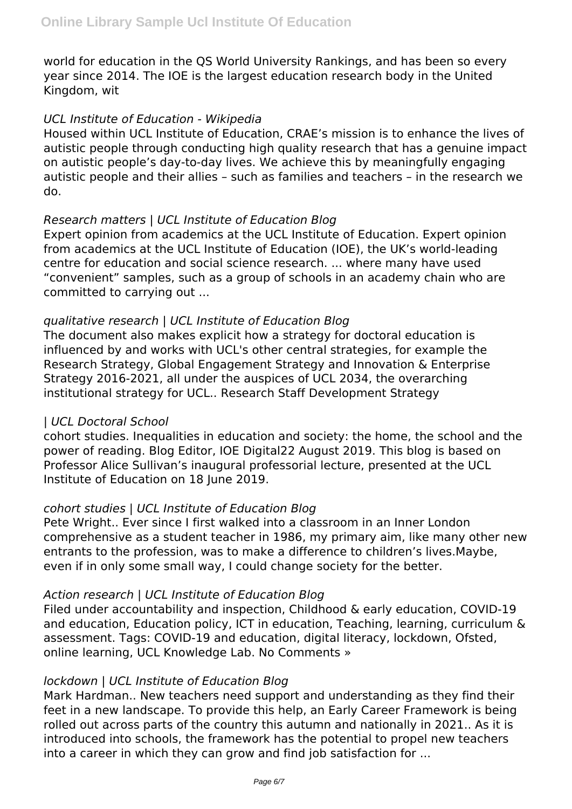world for education in the QS World University Rankings, and has been so every year since 2014. The IOE is the largest education research body in the United Kingdom, wit

#### *UCL Institute of Education - Wikipedia*

Housed within UCL Institute of Education, CRAE's mission is to enhance the lives of autistic people through conducting high quality research that has a genuine impact on autistic people's day-to-day lives. We achieve this by meaningfully engaging autistic people and their allies – such as families and teachers – in the research we do.

## *Research matters | UCL Institute of Education Blog*

Expert opinion from academics at the UCL Institute of Education. Expert opinion from academics at the UCL Institute of Education (IOE), the UK's world-leading centre for education and social science research. ... where many have used "convenient" samples, such as a group of schools in an academy chain who are committed to carrying out ...

## *qualitative research | UCL Institute of Education Blog*

The document also makes explicit how a strategy for doctoral education is influenced by and works with UCL's other central strategies, for example the Research Strategy, Global Engagement Strategy and Innovation & Enterprise Strategy 2016-2021, all under the auspices of UCL 2034, the overarching institutional strategy for UCL.. Research Staff Development Strategy

# *| UCL Doctoral School*

cohort studies. Inequalities in education and society: the home, the school and the power of reading. Blog Editor, IOE Digital22 August 2019. This blog is based on Professor Alice Sullivan's inaugural professorial lecture, presented at the UCL Institute of Education on 18 June 2019.

# *cohort studies | UCL Institute of Education Blog*

Pete Wright.. Ever since I first walked into a classroom in an Inner London comprehensive as a student teacher in 1986, my primary aim, like many other new entrants to the profession, was to make a difference to children's lives.Maybe, even if in only some small way, I could change society for the better.

#### *Action research | UCL Institute of Education Blog*

Filed under accountability and inspection, Childhood & early education, COVID-19 and education, Education policy, ICT in education, Teaching, learning, curriculum & assessment. Tags: COVID-19 and education, digital literacy, lockdown, Ofsted, online learning, UCL Knowledge Lab. No Comments »

#### *lockdown | UCL Institute of Education Blog*

Mark Hardman.. New teachers need support and understanding as they find their feet in a new landscape. To provide this help, an Early Career Framework is being rolled out across parts of the country this autumn and nationally in 2021.. As it is introduced into schools, the framework has the potential to propel new teachers into a career in which they can grow and find job satisfaction for ...